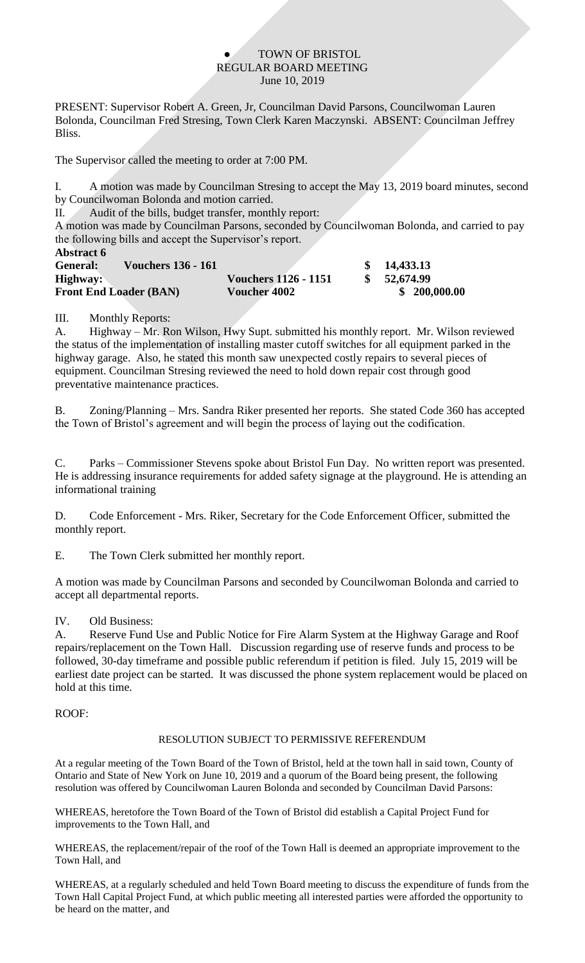### TOWN OF BRISTOL REGULAR BOARD MEETING June 10, 2019

PRESENT: Supervisor Robert A. Green, Jr, Councilman David Parsons, Councilwoman Lauren Bolonda, Councilman Fred Stresing, Town Clerk Karen Maczynski. ABSENT: Councilman Jeffrey Bliss.

The Supervisor called the meeting to order at 7:00 PM.

I. A motion was made by Councilman Stresing to accept the May 13, 2019 board minutes, second by Councilwoman Bolonda and motion carried.

II. Audit of the bills, budget transfer, monthly report:

A motion was made by Councilman Parsons, seconded by Councilwoman Bolonda, and carried to pay the following bills and accept the Supervisor's report. **Abstract 6**

| ADSU ACI V                            |                             |              |
|---------------------------------------|-----------------------------|--------------|
| <b>Vouchers 136 - 161</b><br>General: |                             | 14,433.13    |
| Highway:                              | <b>Vouchers 1126 - 1151</b> | 52,674.99    |
| <b>Front End Loader (BAN)</b>         | <b>Voucher 4002</b>         | \$200,000.00 |

## III. Monthly Reports:

A. Highway – Mr. Ron Wilson, Hwy Supt. submitted his monthly report. Mr. Wilson reviewed the status of the implementation of installing master cutoff switches for all equipment parked in the highway garage. Also, he stated this month saw unexpected costly repairs to several pieces of equipment. Councilman Stresing reviewed the need to hold down repair cost through good preventative maintenance practices.

B. Zoning/Planning – Mrs. Sandra Riker presented her reports. She stated Code 360 has accepted the Town of Bristol's agreement and will begin the process of laying out the codification.

C. Parks – Commissioner Stevens spoke about Bristol Fun Day. No written report was presented. He is addressing insurance requirements for added safety signage at the playground. He is attending an informational training

D. Code Enforcement - Mrs. Riker, Secretary for the Code Enforcement Officer, submitted the monthly report.

E. The Town Clerk submitted her monthly report.

A motion was made by Councilman Parsons and seconded by Councilwoman Bolonda and carried to accept all departmental reports.

## IV. Old Business:

A. Reserve Fund Use and Public Notice for Fire Alarm System at the Highway Garage and Roof repairs/replacement on the Town Hall. Discussion regarding use of reserve funds and process to be followed, 30-day timeframe and possible public referendum if petition is filed. July 15, 2019 will be earliest date project can be started. It was discussed the phone system replacement would be placed on hold at this time.

## ROOF:

## RESOLUTION SUBJECT TO PERMISSIVE REFERENDUM

At a regular meeting of the Town Board of the Town of Bristol, held at the town hall in said town, County of Ontario and State of New York on June 10, 2019 and a quorum of the Board being present, the following resolution was offered by Councilwoman Lauren Bolonda and seconded by Councilman David Parsons:

WHEREAS, heretofore the Town Board of the Town of Bristol did establish a Capital Project Fund for improvements to the Town Hall, and

WHEREAS, the replacement/repair of the roof of the Town Hall is deemed an appropriate improvement to the Town Hall, and

WHEREAS, at a regularly scheduled and held Town Board meeting to discuss the expenditure of funds from the Town Hall Capital Project Fund, at which public meeting all interested parties were afforded the opportunity to be heard on the matter, and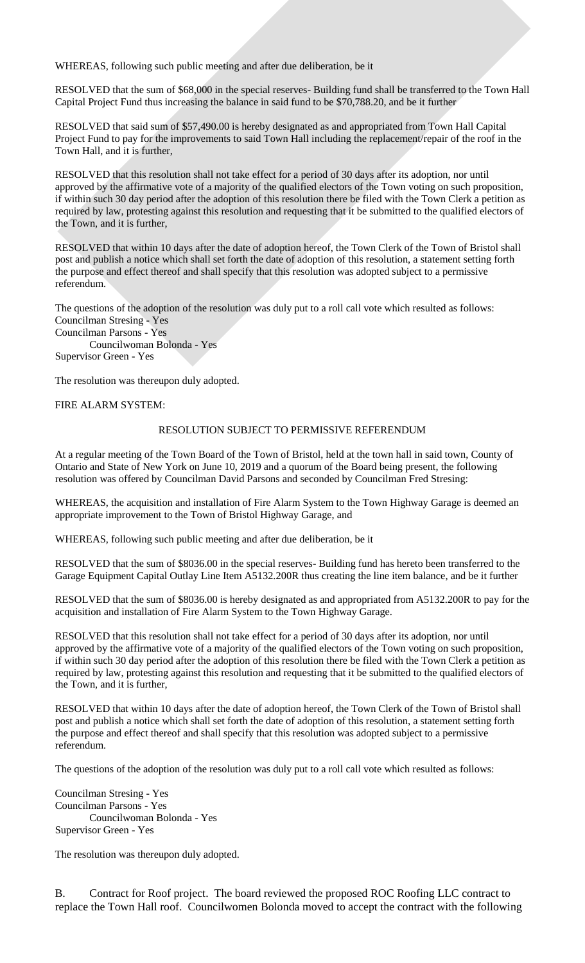WHEREAS, following such public meeting and after due deliberation, be it

RESOLVED that the sum of \$68,000 in the special reserves- Building fund shall be transferred to the Town Hall Capital Project Fund thus increasing the balance in said fund to be \$70,788.20, and be it further

RESOLVED that said sum of \$57,490.00 is hereby designated as and appropriated from Town Hall Capital Project Fund to pay for the improvements to said Town Hall including the replacement/repair of the roof in the Town Hall, and it is further,

RESOLVED that this resolution shall not take effect for a period of 30 days after its adoption, nor until approved by the affirmative vote of a majority of the qualified electors of the Town voting on such proposition, if within such 30 day period after the adoption of this resolution there be filed with the Town Clerk a petition as required by law, protesting against this resolution and requesting that it be submitted to the qualified electors of the Town, and it is further,

RESOLVED that within 10 days after the date of adoption hereof, the Town Clerk of the Town of Bristol shall post and publish a notice which shall set forth the date of adoption of this resolution, a statement setting forth the purpose and effect thereof and shall specify that this resolution was adopted subject to a permissive referendum.

The questions of the adoption of the resolution was duly put to a roll call vote which resulted as follows: Councilman Stresing - Yes Councilman Parsons - Yes Councilwoman Bolonda - Yes

Supervisor Green - Yes

The resolution was thereupon duly adopted.

FIRE ALARM SYSTEM:

#### RESOLUTION SUBJECT TO PERMISSIVE REFERENDUM

At a regular meeting of the Town Board of the Town of Bristol, held at the town hall in said town, County of Ontario and State of New York on June 10, 2019 and a quorum of the Board being present, the following resolution was offered by Councilman David Parsons and seconded by Councilman Fred Stresing:

WHEREAS, the acquisition and installation of Fire Alarm System to the Town Highway Garage is deemed an appropriate improvement to the Town of Bristol Highway Garage, and

WHEREAS, following such public meeting and after due deliberation, be it

RESOLVED that the sum of \$8036.00 in the special reserves- Building fund has hereto been transferred to the Garage Equipment Capital Outlay Line Item A5132.200R thus creating the line item balance, and be it further

RESOLVED that the sum of \$8036.00 is hereby designated as and appropriated from A5132.200R to pay for the acquisition and installation of Fire Alarm System to the Town Highway Garage.

RESOLVED that this resolution shall not take effect for a period of 30 days after its adoption, nor until approved by the affirmative vote of a majority of the qualified electors of the Town voting on such proposition, if within such 30 day period after the adoption of this resolution there be filed with the Town Clerk a petition as required by law, protesting against this resolution and requesting that it be submitted to the qualified electors of the Town, and it is further,

RESOLVED that within 10 days after the date of adoption hereof, the Town Clerk of the Town of Bristol shall post and publish a notice which shall set forth the date of adoption of this resolution, a statement setting forth the purpose and effect thereof and shall specify that this resolution was adopted subject to a permissive referendum.

The questions of the adoption of the resolution was duly put to a roll call vote which resulted as follows:

Councilman Stresing - Yes Councilman Parsons - Yes Councilwoman Bolonda - Yes Supervisor Green - Yes

The resolution was thereupon duly adopted.

B. Contract for Roof project. The board reviewed the proposed ROC Roofing LLC contract to replace the Town Hall roof. Councilwomen Bolonda moved to accept the contract with the following